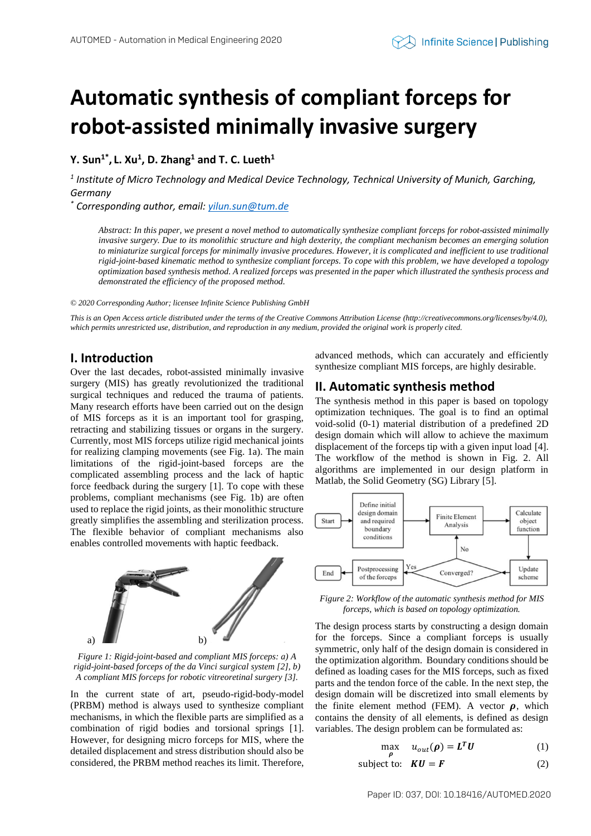# **Automatic synthesis of compliant forceps for robot-assisted minimally invasive surgery**

**Y. Sun1\* , L. Xu<sup>1</sup> , D. Zhang<sup>1</sup> and T. C. Lueth<sup>1</sup>**

*1 Institute of Micro Technology and Medical Device Technology, Technical University of Munich, Garching, Germany*

*\* Corresponding author, email: yilun.sun@tum.de*

*Abstract: In this paper, we present a novel method to automatically synthesize compliant forceps for robot-assisted minimally invasive surgery. Due to its monolithic structure and high dexterity, the compliant mechanism becomes an emerging solution to miniaturize surgical forceps for minimally invasive procedures. However, it is complicated and inefficient to use traditional rigid-joint-based kinematic method to synthesize compliant forceps. To cope with this problem, we have developed a topology optimization based synthesis method. A realized forceps was presented in the paper which illustrated the synthesis process and demonstrated the efficiency of the proposed method.*

*© 2020 Corresponding Author; licensee Infinite Science Publishing GmbH*

*This is an Open Access article distributed under the terms of the Creative Commons Attribution License (http://creativecommons.org/licenses/by/4.0),*  which permits unrestricted use, distribution, and reproduction in any medium, provided the original work is properly cited.

### **I. Introduction**

Over the last decades, robot-assisted minimally invasive surgery (MIS) has greatly revolutionized the traditional surgical techniques and reduced the trauma of patients. Many research efforts have been carried out on the design of MIS forceps as it is an important tool for grasping, retracting and stabilizing tissues or organs in the surgery. Currently, most MIS forceps utilize rigid mechanical joints for realizing clamping movements (see Fig. 1a). The main limitations of the rigid-joint-based forceps are the complicated assembling process and the lack of haptic force feedback during the surgery [1]. To cope with these problems, compliant mechanisms (see Fig. 1b) are often used to replace the rigid joints, as their monolithic structure greatly simplifies the assembling and sterilization process. The flexible behavior of compliant mechanisms also enables controlled movements with haptic feedback.



*Figure 1: Rigid-joint-based and compliant MIS forceps: a) A rigid-joint-based forceps of the da Vinci surgical system [2], b) A compliant MIS forceps for robotic vitreoretinal surgery [3].* 

In the current state of art, pseudo-rigid-body-model (PRBM) method is always used to synthesize compliant mechanisms, in which the flexible parts are simplified as a combination of rigid bodies and torsional springs [1]. However, for designing micro forceps for MIS, where the detailed displacement and stress distribution should also be considered, the PRBM method reaches its limit. Therefore, advanced methods, which can accurately and efficiently synthesize compliant MIS forceps, are highly desirable.

# **II. Automatic synthesis method**

The synthesis method in this paper is based on topology optimization techniques. The goal is to find an optimal void-solid (0-1) material distribution of a predefined 2D design domain which will allow to achieve the maximum displacement of the forceps tip with a given input load [4]. The workflow of the method is shown in Fig. 2. All algorithms are implemented in our design platform in Matlab, the Solid Geometry (SG) Library [5].



*Figure 2: Workflow of the automatic synthesis method for MIS forceps, which is based on topology optimization.* 

The design process starts by constructing a design domain for the forceps. Since a compliant forceps is usually symmetric, only half of the design domain is considered in the optimization algorithm. Boundary conditions should be defined as loading cases for the MIS forceps, such as fixed parts and the tendon force of the cable. In the next step, the design domain will be discretized into small elements by the finite element method (FEM). A vector  $\rho$ , which contains the density of all elements, is defined as design variables. The design problem can be formulated as:

$$
\max_{\boldsymbol{\rho}} \quad u_{out}(\boldsymbol{\rho}) = \boldsymbol{L}^T \boldsymbol{U} \tag{1}
$$

subject to: 
$$
KU = F
$$
 (2)